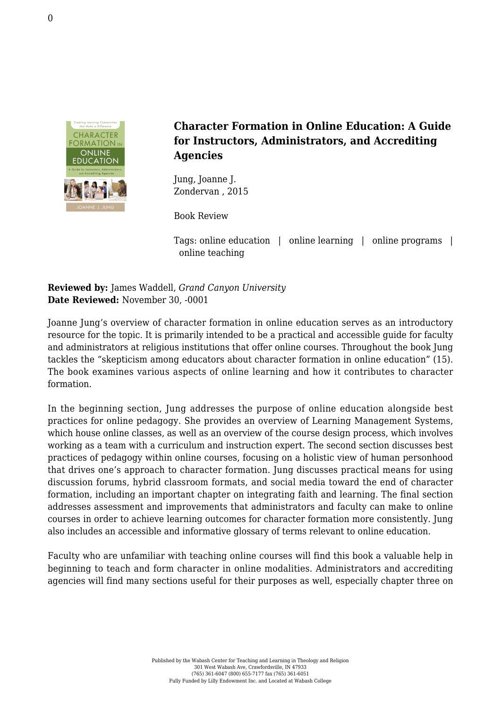

**Character Formation in Online Education: A Guide for Instructors, Administrators, and Accrediting Agencies**

Jung, Joanne J. [Zondervan , 2015](http://www.zondervan.com/character-formation-in-online-education)

Book Review

Tags: online education | online learning | online programs | online teaching

**Reviewed by:** James Waddell, *Grand Canyon University* **Date Reviewed:** November 30, -0001

Joanne Jung's overview of character formation in online education serves as an introductory resource for the topic. It is primarily intended to be a practical and accessible guide for faculty and administrators at religious institutions that offer online courses. Throughout the book Jung tackles the "skepticism among educators about character formation in online education" (15). The book examines various aspects of online learning and how it contributes to character formation.

In the beginning section, Jung addresses the purpose of online education alongside best practices for online pedagogy. She provides an overview of Learning Management Systems, which house online classes, as well as an overview of the course design process, which involves working as a team with a curriculum and instruction expert. The second section discusses best practices of pedagogy within online courses, focusing on a holistic view of human personhood that drives one's approach to character formation. Jung discusses practical means for using discussion forums, hybrid classroom formats, and social media toward the end of character formation, including an important chapter on integrating faith and learning. The final section addresses assessment and improvements that administrators and faculty can make to online courses in order to achieve learning outcomes for character formation more consistently. Jung also includes an accessible and informative glossary of terms relevant to online education.

Faculty who are unfamiliar with teaching online courses will find this book a valuable help in beginning to teach and form character in online modalities. Administrators and accrediting agencies will find many sections useful for their purposes as well, especially chapter three on